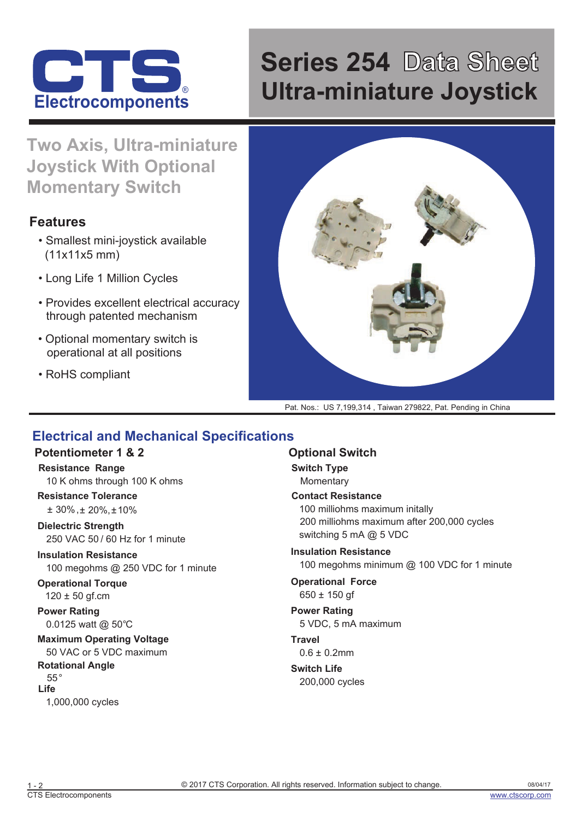

# **Series 254 Data Sheet** ® **Ultra-miniature Joystick Electrocomponents**

**Two Axis, Ultra-miniature Joystick With Optional Momentary Switch**

## **Features**

- Smallest mini-joystick available (11x11x5 mm)
- Long Life 1 Million Cycles
- Provides excellent electrical accuracy through patented mechanism
- Optional momentary switch is operational at all positions
- RoHS compliant



Pat. Nos.: US 7,199,314 , Taiwan 279822, Pat. Pending in China

## **Electrical and Mechanical Specifications**

#### **Potentiometer 1 & 2**

**Resistance Range** 10 K ohms through 100 K ohms

#### **Resistance Tolerance**

± 30% ,± 20%,±10%

**Dielectric Strength** 250 VAC 50 / 60 Hz for 1 minute

**Insulation Resistance** 100 megohms @ 250 VDC for 1 minute

**Operational Torque**  $120 \pm 50$  gf.cm

**Power Rating** 0.0125 watt @ 50°C

**Maximum Operating Voltage** 50 VAC or 5 VDC maximum

**Rotational Angle** 55° **Life** 1,000,000 cycles

#### **Optional Switch**

**Switch Type Momentary** 

**Contact Resistance** 100 milliohms maximum initally switching 5 mA @ 5 VDC 200 milliohms maximum after 200,000 cycles

**Insulation Resistance** 100 megohms minimum @ 100 VDC for 1 minute

**Operational Force**  $650 \pm 150$  af

**Power Rating** 5 VDC, 5 mA maximum

**Travel**  $0.6 \pm 0.2$ mm

**Switch Life** 200,000 cycles